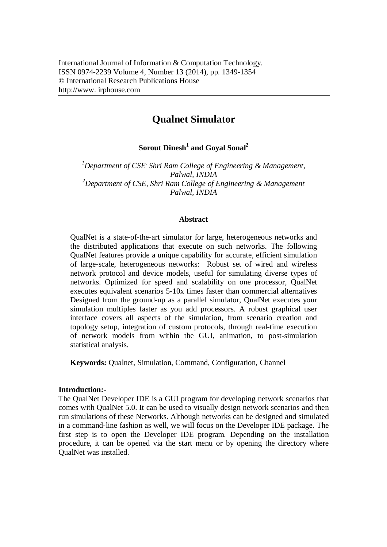# **Qualnet Simulator**

**Sorout Dinesh<sup>1</sup> and Goyal Sonal<sup>2</sup>**

*<sup>1</sup>Department of CSE, Shri Ram College of Engineering & Management, Palwal, INDIA <sup>2</sup>Department of CSE, Shri Ram College of Engineering & Management Palwal, INDIA*

#### **Abstract**

QualNet is a state-of-the-art simulator for large, heterogeneous networks and the distributed applications that execute on such networks. The following QualNet features provide a unique capability for accurate, efficient simulation of large-scale, heterogeneous networks: Robust set of wired and wireless network protocol and device models, useful for simulating diverse types of networks. Optimized for speed and scalability on one processor, QualNet executes equivalent scenarios 5-10x times faster than commercial alternatives Designed from the ground-up as a parallel simulator, QualNet executes your simulation multiples faster as you add processors. A robust graphical user interface covers all aspects of the simulation, from scenario creation and topology setup, integration of custom protocols, through real-time execution of network models from within the GUI, animation, to post-simulation statistical analysis.

**Keywords:** Qualnet, Simulation, Command, Configuration, Channel

#### **Introduction:-**

The QualNet Developer IDE is a GUI program for developing network scenarios that comes with QualNet 5.0. It can be used to visually design network scenarios and then run simulations of these Networks. Although networks can be designed and simulated in a command-line fashion as well, we will focus on the Developer IDE package. The first step is to open the Developer IDE program. Depending on the installation procedure, it can be opened via the start menu or by opening the directory where QualNet was installed.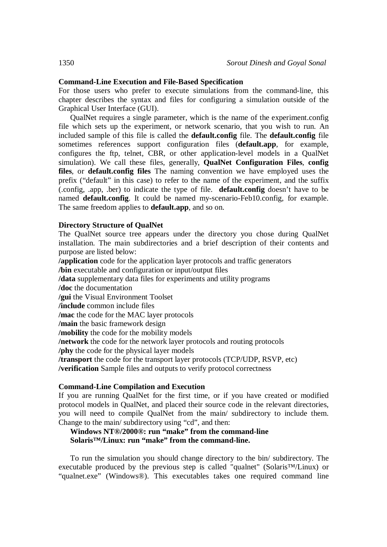# **Command-Line Execution and File-Based Specification**

For those users who prefer to execute simulations from the command-line, this chapter describes the syntax and files for configuring a simulation outside of the Graphical User Interface (GUI).

QualNet requires a single parameter, which is the name of the experiment.config file which sets up the experiment, or network scenario, that you wish to run. An included sample of this file is called the **default.config** file. The **default.config** file sometimes references support configuration files (**default.app**, for example, configures the ftp, telnet, CBR, or other application-level models in a QualNet simulation). We call these files, generally, **QualNet Configuration Files**, **config files**, or **default.config files** The naming convention we have employed uses the prefix ("default" in this case) to refer to the name of the experiment, and the suffix (.config, .app, .ber) to indicate the type of file. **default.config** doesn't have to be named **default.config**. It could be named my-scenario-Feb10.config, for example. The same freedom applies to **default.app**, and so on.

## **Directory Structure of QualNet**

The QualNet source tree appears under the directory you chose during QualNet installation. The main subdirectories and a brief description of their contents and purpose are listed below:

**/application** code for the application layer protocols and traffic generators

**/bin** executable and configuration or input/output files

**/data** supplementary data files for experiments and utility programs

**/doc** the documentation

**/gui** the Visual Environment Toolset

**/include** common include files

**/mac** the code for the MAC layer protocols

**/main** the basic framework design

**/mobility** the code for the mobility models

**/network** the code for the network layer protocols and routing protocols

**/phy** the code for the physical layer models

**/transport** the code for the transport layer protocols (TCP/UDP, RSVP, etc)

**/verification** Sample files and outputs to verify protocol correctness

## **Command-Line Compilation and Execution**

If you are running QualNet for the first time, or if you have created or modified protocol models in QualNet, and placed their source code in the relevant directories, you will need to compile QualNet from the main/ subdirectory to include them. Change to the main/ subdirectory using "cd", and then:

# **Windows NT®/2000®: run "make" from the command-line Solaris™/Linux: run "make" from the command-line.**

To run the simulation you should change directory to the bin/ subdirectory. The executable produced by the previous step is called "qualnet" (Solaris™/Linux) or "qualnet.exe" (Windows®). This executables takes one required command line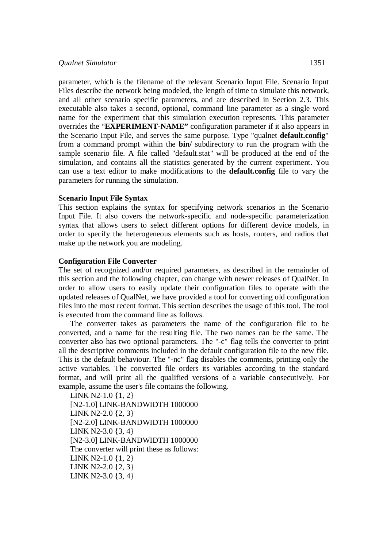#### *Qualnet Simulator* 1351

parameter, which is the filename of the relevant Scenario Input File. Scenario Input Files describe the network being modeled, the length of time to simulate this network, and all other scenario specific parameters, and are described in Section 2.3. This executable also takes a second, optional, command line parameter as a single word name for the experiment that this simulation execution represents. This parameter overrides the "**EXPERIMENT-NAME"** configuration parameter if it also appears in the Scenario Input File, and serves the same purpose. Type "qualnet **default.config**" from a command prompt within the **bin/** subdirectory to run the program with the sample scenario file. A file called "default.stat" will be produced at the end of the simulation, and contains all the statistics generated by the current experiment. You can use a text editor to make modifications to the **default.config** file to vary the parameters for running the simulation.

### **Scenario Input File Syntax**

This section explains the syntax for specifying network scenarios in the Scenario Input File. It also covers the network-specific and node-specific parameterization syntax that allows users to select different options for different device models, in order to specify the heterogeneous elements such as hosts, routers, and radios that make up the network you are modeling.

### **Configuration File Converter**

The set of recognized and/or required parameters, as described in the remainder of this section and the following chapter, can change with newer releases of QualNet. In order to allow users to easily update their configuration files to operate with the updated releases of QualNet, we have provided a tool for converting old configuration files into the most recent format. This section describes the usage of this tool. The tool is executed from the command line as follows.

The converter takes as parameters the name of the configuration file to be converted, and a name for the resulting file. The two names can be the same. The converter also has two optional parameters. The "-c" flag tells the converter to print all the descriptive comments included in the default configuration file to the new file. This is the default behaviour. The "-nc" flag disables the comments, printing only the active variables. The converted file orders its variables according to the standard format, and will print all the qualified versions of a variable consecutively. For example, assume the user's file contains the following.

LINK N2-1.0 {1, 2} [N2-1.0] LINK-BANDWIDTH 1000000 LINK N2-2.0 {2, 3} [N2-2.0] LINK-BANDWIDTH 1000000 LINK N2-3.0 {3, 4} [N2-3.0] LINK-BANDWIDTH 1000000 The converter will print these as follows: LINK N2-1.0 {1, 2} LINK N2-2.0 {2, 3} LINK N2-3.0 {3, 4}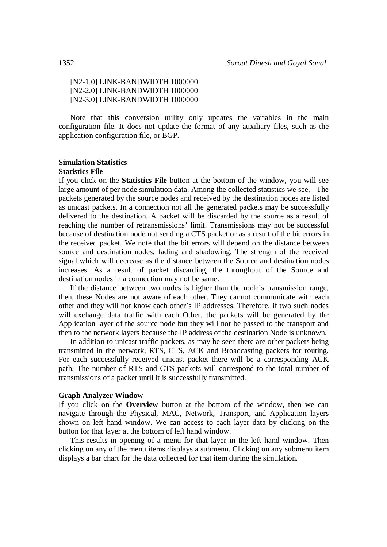# [N2-1.0] LINK-BANDWIDTH 1000000 [N2-2.0] LINK-BANDWIDTH 1000000 [N2-3.0] LINK-BANDWIDTH 1000000

Note that this conversion utility only updates the variables in the main configuration file. It does not update the format of any auxiliary files, such as the application configuration file, or BGP.

# **Simulation Statistics**

#### **Statistics File**

If you click on the **Statistics File** button at the bottom of the window, you will see large amount of per node simulation data. Among the collected statistics we see, - The packets generated by the source nodes and received by the destination nodes are listed as unicast packets. In a connection not all the generated packets may be successfully delivered to the destination. A packet will be discarded by the source as a result of reaching the number of retransmissions' limit. Transmissions may not be successful because of destination node not sending a CTS packet or as a result of the bit errors in the received packet. We note that the bit errors will depend on the distance between source and destination nodes, fading and shadowing. The strength of the received signal which will decrease as the distance between the Source and destination nodes increases. As a result of packet discarding, the throughput of the Source and destination nodes in a connection may not be same.

If the distance between two nodes is higher than the node's transmission range, then, these Nodes are not aware of each other. They cannot communicate with each other and they will not know each other's IP addresses. Therefore, if two such nodes will exchange data traffic with each Other, the packets will be generated by the Application layer of the source node but they will not be passed to the transport and then to the network layers because the IP address of the destination Node is unknown.

In addition to unicast traffic packets, as may be seen there are other packets being transmitted in the network, RTS, CTS, ACK and Broadcasting packets for routing. For each successfully received unicast packet there will be a corresponding ACK path. The number of RTS and CTS packets will correspond to the total number of transmissions of a packet until it is successfully transmitted.

#### **Graph Analyzer Window**

If you click on the **Overview** button at the bottom of the window, then we can navigate through the Physical, MAC, Network, Transport, and Application layers shown on left hand window. We can access to each layer data by clicking on the button for that layer at the bottom of left hand window.

This results in opening of a menu for that layer in the left hand window. Then clicking on any of the menu items displays a submenu. Clicking on any submenu item displays a bar chart for the data collected for that item during the simulation.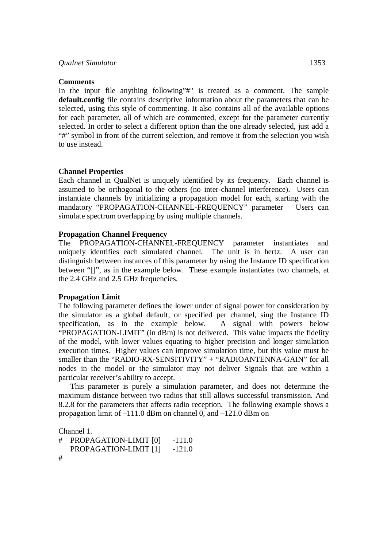#### **Comments**

In the input file anything following"#" is treated as a comment. The sample **default.config** file contains descriptive information about the parameters that can be selected, using this style of commenting. It also contains all of the available options for each parameter, all of which are commented, except for the parameter currently selected. In order to select a different option than the one already selected, just add a "#" symbol in front of the current selection, and remove it from the selection you wish to use instead.

#### **Channel Properties**

Each channel in QualNet is uniquely identified by its frequency. Each channel is assumed to be orthogonal to the others (no inter-channel interference). Users can instantiate channels by initializing a propagation model for each, starting with the mandatory "PROPAGATION-CHANNEL-FREQUENCY" parameter Users can simulate spectrum overlapping by using multiple channels.

#### **Propagation Channel Frequency**

The PROPAGATION-CHANNEL-FREQUENCY parameter instantiates and uniquely identifies each simulated channel. The unit is in hertz. A user can distinguish between instances of this parameter by using the Instance ID specification between "[]", as in the example below. These example instantiates two channels, at the 2.4 GHz and 2.5 GHz frequencies.

#### **Propagation Limit**

The following parameter defines the lower under of signal power for consideration by the simulator as a global default, or specified per channel, sing the Instance ID specification, as in the example below. A signal with powers below "PROPAGATION-LIMIT" (in dBm) is not delivered. This value impacts the fidelity of the model, with lower values equating to higher precision and longer simulation execution times. Higher values can improve simulation time, but this value must be smaller than the "RADIO-RX-SENSITIVITY" + "RADIOANTENNA-GAIN" for all nodes in the model or the simulator may not deliver Signals that are within a particular receiver's ability to accept.

This parameter is purely a simulation parameter, and does not determine the maximum distance between two radios that still allows successful transmission. And 8.2.8 for the parameters that affects radio reception. The following example shows a propagation limit of –111.0 dBm on channel 0, and –121.0 dBm on

Channel 1.

```
# PROPAGATION-LIMIT [0] -111.0 
  PROPAGATION-LIMIT [1] -121.0
#
```